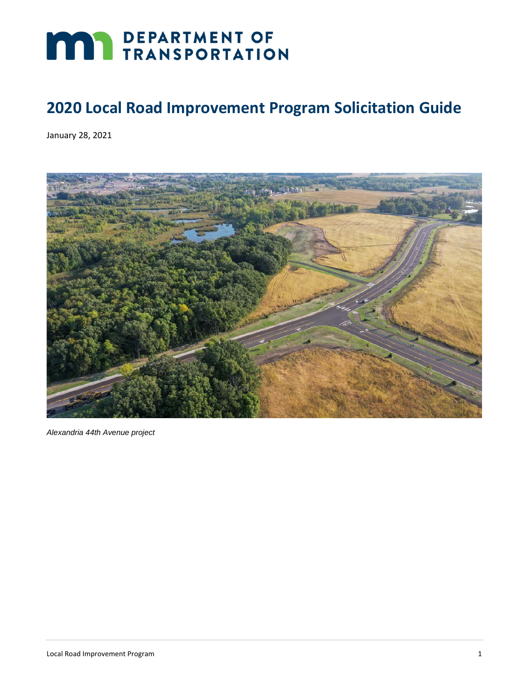# **MAY DEPARTMENT OF TRANSPORTATION**

# **2020 Local Road Improvement Program Solicitation Guide**

January 28, 2021



*Alexandria 44th Avenue project*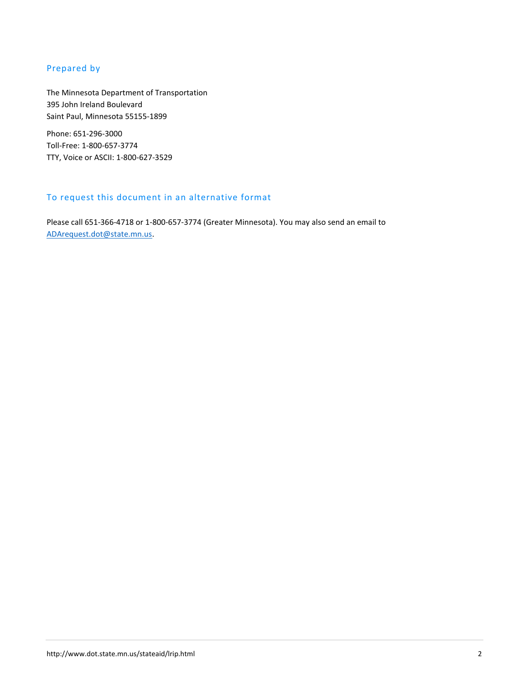## Prepared by

The Minnesota Department of Transportation 395 John Ireland Boulevard Saint Paul, Minnesota 55155-1899

Phone: 651-296-3000 Toll-Free: 1-800-657-3774 TTY, Voice or ASCII: 1-800-627-3529

## To request this document in an alternative format

Please call 651-366-4718 or 1-800-657-3774 (Greater Minnesota). You may also send an email to [ADArequest.dot@state.mn.us.](mailto:ADArequest.dot@state.mn.us)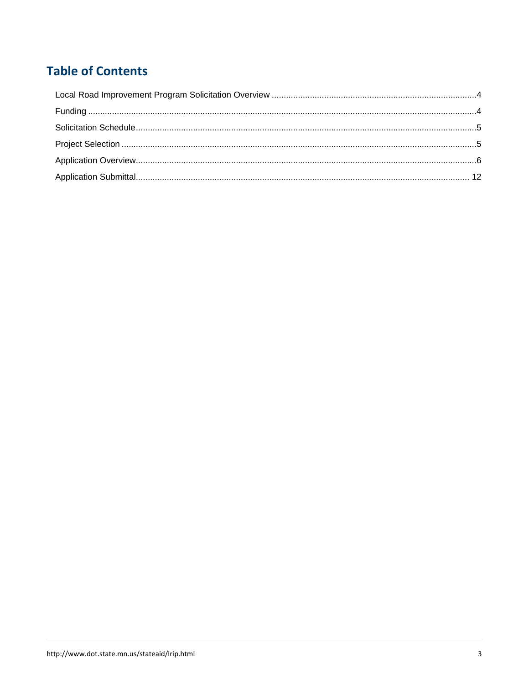# **Table of Contents**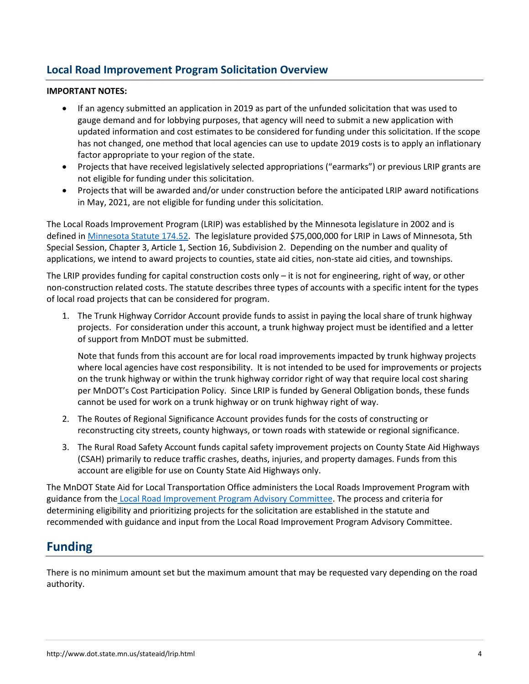## <span id="page-3-0"></span>**Local Road Improvement Program Solicitation Overview**

#### **IMPORTANT NOTES:**

- If an agency submitted an application in 2019 as part of the unfunded solicitation that was used to gauge demand and for lobbying purposes, that agency will need to submit a new application with updated information and cost estimates to be considered for funding under this solicitation. If the scope has not changed, one method that local agencies can use to update 2019 costs is to apply an inflationary factor appropriate to your region of the state.
- Projects that have received legislatively selected appropriations ("earmarks") or previous LRIP grants are not eligible for funding under this solicitation.
- Projects that will be awarded and/or under construction before the anticipated LRIP award notifications in May, 2021, are not eligible for funding under this solicitation.

The Local Roads Improvement Program (LRIP) was established by the Minnesota legislature in 2002 and is defined in [Minnesota Statute 174.52.](https://www.revisor.mn.gov/statutes/?id=174.52) The legislature provided \$75,000,000 for LRIP in Laws of Minnesota, 5th Special Session, Chapter 3, Article 1, Section 16, Subdivision 2. Depending on the number and quality of applications, we intend to award projects to counties, state aid cities, non-state aid cities, and townships.

The LRIP provides funding for capital construction costs only – it is not for engineering, right of way, or other non-construction related costs. The statute describes three types of accounts with a specific intent for the types of local road projects that can be considered for program.

1. The Trunk Highway Corridor Account provide funds to assist in paying the local share of trunk highway projects. For consideration under this account, a trunk highway project must be identified and a letter of support from MnDOT must be submitted.

Note that funds from this account are for local road improvements impacted by trunk highway projects where local agencies have cost responsibility. It is not intended to be used for improvements or projects on the trunk highway or within the trunk highway corridor right of way that require local cost sharing per MnDOT's Cost Participation Policy. Since LRIP is funded by General Obligation bonds, these funds cannot be used for work on a trunk highway or on trunk highway right of way.

- 2. The Routes of Regional Significance Account provides funds for the costs of constructing or reconstructing city streets, county highways, or town roads with statewide or regional significance.
- 3. The Rural Road Safety Account funds capital safety improvement projects on County State Aid Highways (CSAH) primarily to reduce traffic crashes, deaths, injuries, and property damages. Funds from this account are eligible for use on County State Aid Highways only.

The MnDOT State Aid for Local Transportation Office administers the Local Roads Improvement Program with guidance from the [Local Road Improvement Program Advisory Committee.](https://www.revisor.mn.gov/statutes/?id=174.52) The process and criteria for determining eligibility and prioritizing projects for the solicitation are established in the statute and recommended with guidance and input from the Local Road Improvement Program Advisory Committee.

# <span id="page-3-1"></span>**Funding**

There is no minimum amount set but the maximum amount that may be requested vary depending on the road authority.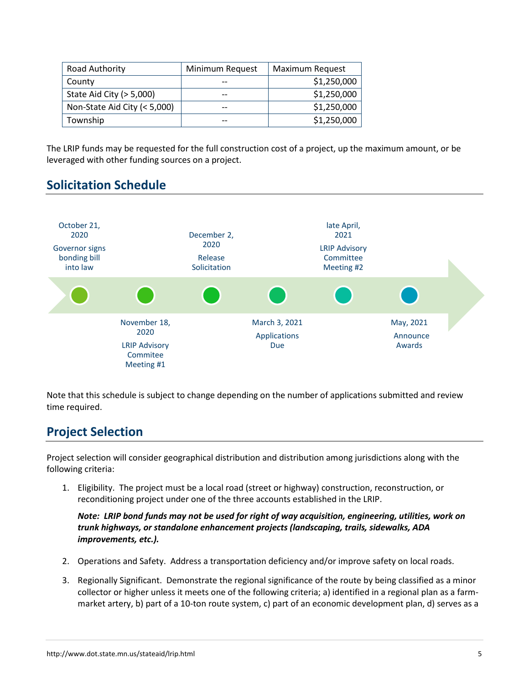| Road Authority               | Minimum Request | Maximum Request |
|------------------------------|-----------------|-----------------|
| County                       |                 | \$1,250,000     |
| State Aid City $(>5,000)$    | $- -$           | \$1,250,000     |
| Non-State Aid City (< 5,000) | $-$             | \$1,250,000     |
| Township                     | $- -$           | \$1,250,000     |

The LRIP funds may be requested for the full construction cost of a project, up the maximum amount, or be leveraged with other funding sources on a project.

# <span id="page-4-0"></span>**Solicitation Schedule**



Note that this schedule is subject to change depending on the number of applications submitted and review time required.

# <span id="page-4-1"></span>**Project Selection**

Project selection will consider geographical distribution and distribution among jurisdictions along with the following criteria:

1. Eligibility. The project must be a local road (street or highway) construction, reconstruction, or reconditioning project under one of the three accounts established in the LRIP.

*Note: LRIP bond funds may not be used for right of way acquisition, engineering, utilities, work on trunk highways, or standalone enhancement projects (landscaping, trails, sidewalks, ADA improvements, etc.).*

- 2. Operations and Safety. Address a transportation deficiency and/or improve safety on local roads.
- 3. Regionally Significant. Demonstrate the regional significance of the route by being classified as a minor collector or higher unless it meets one of the following criteria; a) identified in a regional plan as a farmmarket artery, b) part of a 10-ton route system, c) part of an economic development plan, d) serves as a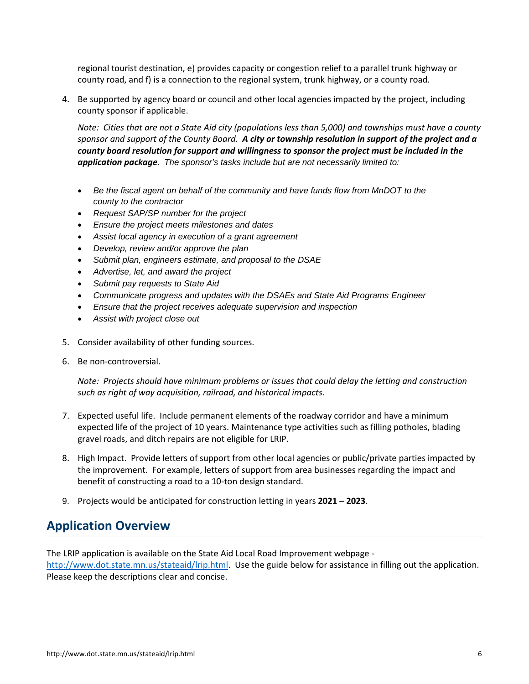regional tourist destination, e) provides capacity or congestion relief to a parallel trunk highway or county road, and f) is a connection to the regional system, trunk highway, or a county road.

4. Be supported by agency board or council and other local agencies impacted by the project, including county sponsor if applicable.

*Note: Cities that are not a State Aid city (populations less than 5,000) and townships must have a county sponsor and support of the County Board. A city or township resolution in support of the project and a county board resolution for support and willingness to sponsor the project must be included in the application package. The sponsor's tasks include but are not necessarily limited to:*

- *Be the fiscal agent on behalf of the community and have funds flow from MnDOT to the county to the contractor*
- *Request SAP/SP number for the project*
- *Ensure the project meets milestones and dates*
- *Assist local agency in execution of a grant agreement*
- *Develop, review and/or approve the plan*
- *Submit plan, engineers estimate, and proposal to the DSAE*
- *Advertise, let, and award the project*
- *Submit pay requests to State Aid*
- *Communicate progress and updates with the DSAEs and State Aid Programs Engineer*
- *Ensure that the project receives adequate supervision and inspection*
- *Assist with project close out*
- 5. Consider availability of other funding sources.
- 6. Be non-controversial.

*Note: Projects should have minimum problems or issues that could delay the letting and construction such as right of way acquisition, railroad, and historical impacts.*

- 7. Expected useful life. Include permanent elements of the roadway corridor and have a minimum expected life of the project of 10 years. Maintenance type activities such as filling potholes, blading gravel roads, and ditch repairs are not eligible for LRIP.
- 8. High Impact. Provide letters of support from other local agencies or public/private parties impacted by the improvement. For example, letters of support from area businesses regarding the impact and benefit of constructing a road to a 10-ton design standard.
- 9. Projects would be anticipated for construction letting in years **2021 – 2023**.

# <span id="page-5-0"></span>**Application Overview**

The LRIP application is available on the State Aid Local Road Improvement webpage [http://www.dot.state.mn.us/stateaid/lrip.html.](http://www.dot.state.mn.us/stateaid/lrip.html) Use the guide below for assistance in filling out the application. Please keep the descriptions clear and concise.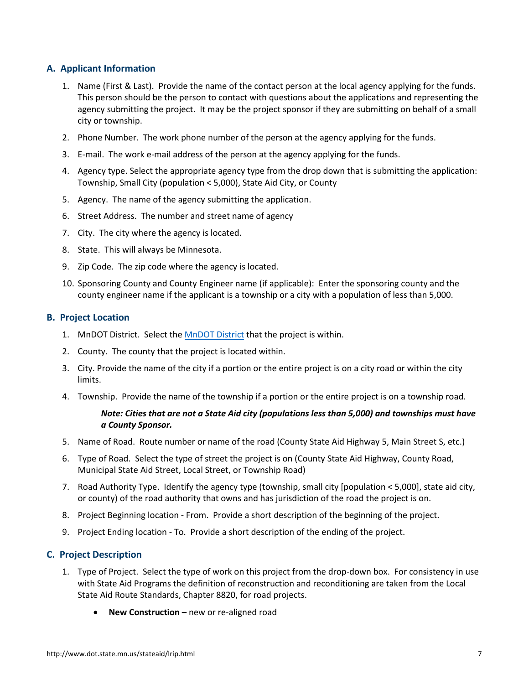## **A. Applicant Information**

- 1. Name (First & Last). Provide the name of the contact person at the local agency applying for the funds. This person should be the person to contact with questions about the applications and representing the agency submitting the project. It may be the project sponsor if they are submitting on behalf of a small city or township.
- 2. Phone Number. The work phone number of the person at the agency applying for the funds.
- 3. E-mail. The work e-mail address of the person at the agency applying for the funds.
- 4. Agency type. Select the appropriate agency type from the drop down that is submitting the application: Township, Small City (population < 5,000), State Aid City, or County
- 5. Agency. The name of the agency submitting the application.
- 6. Street Address. The number and street name of agency
- 7. City. The city where the agency is located.
- 8. State. This will always be Minnesota.
- 9. Zip Code. The zip code where the agency is located.
- 10. Sponsoring County and County Engineer name (if applicable): Enter the sponsoring county and the county engineer name if the applicant is a township or a city with a population of less than 5,000.

#### **B. Project Location**

- 1. MnDOT District. Select the **MnDOT District** that the project is within.
- 2. County. The county that the project is located within.
- 3. City. Provide the name of the city if a portion or the entire project is on a city road or within the city limits.
- 4. Township. Provide the name of the township if a portion or the entire project is on a township road.

#### *Note: Cities that are not a State Aid city (populations less than 5,000) and townships must have a County Sponsor.*

- 5. Name of Road. Route number or name of the road (County State Aid Highway 5, Main Street S, etc.)
- 6. Type of Road. Select the type of street the project is on (County State Aid Highway, County Road, Municipal State Aid Street, Local Street, or Township Road)
- 7. Road Authority Type. Identify the agency type (township, small city [population < 5,000], state aid city, or county) of the road authority that owns and has jurisdiction of the road the project is on.
- 8. Project Beginning location From. Provide a short description of the beginning of the project.
- 9. Project Ending location To. Provide a short description of the ending of the project.

#### **C. Project Description**

- 1. Type of Project. Select the type of work on this project from the drop-down box. For consistency in use with State Aid Programs the definition of reconstruction and reconditioning are taken from the Local State Aid Route Standards, Chapter 8820, for road projects.
	- **New Construction –** new or re-aligned road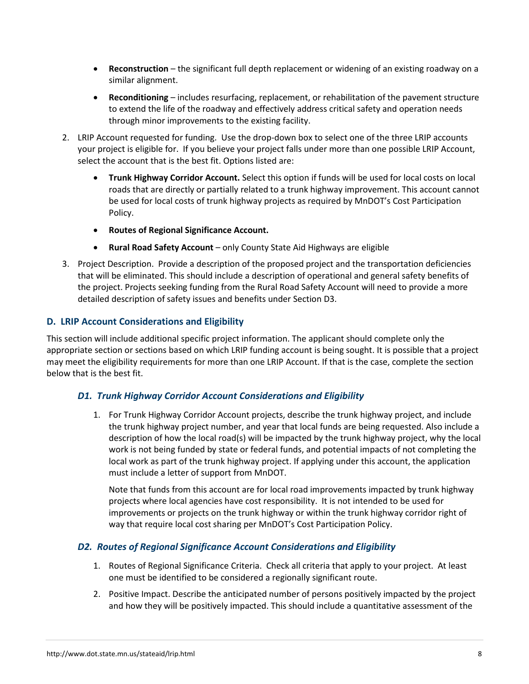- **Reconstruction** the significant full depth replacement or widening of an existing roadway on a similar alignment.
- **Reconditioning**  includes resurfacing, replacement, or rehabilitation of the pavement structure to extend the life of the roadway and effectively address critical safety and operation needs through minor improvements to the existing facility.
- 2. LRIP Account requested for funding. Use the drop-down box to select one of the three LRIP accounts your project is eligible for. If you believe your project falls under more than one possible LRIP Account, select the account that is the best fit. Options listed are:
	- **Trunk Highway Corridor Account.** Select this option if funds will be used for local costs on local roads that are directly or partially related to a trunk highway improvement. This account cannot be used for local costs of trunk highway projects as required by MnDOT's Cost Participation Policy.
	- **Routes of Regional Significance Account.**
	- **Rural Road Safety Account** only County State Aid Highways are eligible
- 3. Project Description. Provide a description of the proposed project and the transportation deficiencies that will be eliminated. This should include a description of operational and general safety benefits of the project. Projects seeking funding from the Rural Road Safety Account will need to provide a more detailed description of safety issues and benefits under Section D3.

## **D. LRIP Account Considerations and Eligibility**

This section will include additional specific project information. The applicant should complete only the appropriate section or sections based on which LRIP funding account is being sought. It is possible that a project may meet the eligibility requirements for more than one LRIP Account. If that is the case, complete the section below that is the best fit.

#### *D1. Trunk Highway Corridor Account Considerations and Eligibility*

1. For Trunk Highway Corridor Account projects, describe the trunk highway project, and include the trunk highway project number, and year that local funds are being requested. Also include a description of how the local road(s) will be impacted by the trunk highway project, why the local work is not being funded by state or federal funds, and potential impacts of not completing the local work as part of the trunk highway project. If applying under this account, the application must include a letter of support from MnDOT.

Note that funds from this account are for local road improvements impacted by trunk highway projects where local agencies have cost responsibility. It is not intended to be used for improvements or projects on the trunk highway or within the trunk highway corridor right of way that require local cost sharing per MnDOT's Cost Participation Policy.

## *D2. Routes of Regional Significance Account Considerations and Eligibility*

- 1. Routes of Regional Significance Criteria. Check all criteria that apply to your project. At least one must be identified to be considered a regionally significant route.
- 2. Positive Impact. Describe the anticipated number of persons positively impacted by the project and how they will be positively impacted. This should include a quantitative assessment of the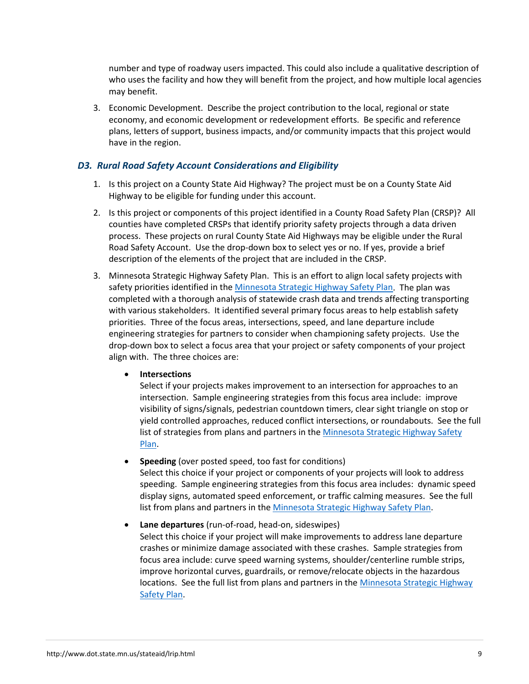number and type of roadway users impacted. This could also include a qualitative description of who uses the facility and how they will benefit from the project, and how multiple local agencies may benefit.

3. Economic Development. Describe the project contribution to the local, regional or state economy, and economic development or redevelopment efforts. Be specific and reference plans, letters of support, business impacts, and/or community impacts that this project would have in the region.

#### *D3. Rural Road Safety Account Considerations and Eligibility*

- 1. Is this project on a County State Aid Highway? The project must be on a County State Aid Highway to be eligible for funding under this account.
- 2. Is this project or components of this project identified in a County Road Safety Plan (CRSP)? All counties have completed CRSPs that identify priority safety projects through a data driven process. These projects on rural County State Aid Highways may be eligible under the Rural Road Safety Account. Use the drop-down box to select yes or no. If yes, provide a brief description of the elements of the project that are included in the CRSP.
- 3. Minnesota Strategic Highway Safety Plan. This is an effort to align local safety projects with safety priorities identified in the [Minnesota Strategic Highway Safety Plan.](http://www.dot.state.mn.us/trafficeng/safety/shsp/index.html) The plan was completed with a thorough analysis of statewide crash data and trends affecting transporting with various stakeholders. It identified several primary focus areas to help establish safety priorities. Three of the focus areas, intersections, speed, and lane departure include engineering strategies for partners to consider when championing safety projects. Use the drop-down box to select a focus area that your project or safety components of your project align with. The three choices are:

#### • **Intersections**

Select if your projects makes improvement to an intersection for approaches to an intersection. Sample engineering strategies from this focus area include: improve visibility of signs/signals, pedestrian countdown timers, clear sight triangle on stop or yield controlled approaches, reduced conflict intersections, or roundabouts. See the full list of strategies from plans and partners in the Minnesota Strategic Highway Safety [Plan.](http://www.dot.state.mn.us/trafficeng/safety/shsp/index.html)

- **Speeding** (over posted speed, too fast for conditions) Select this choice if your project or components of your projects will look to address speeding. Sample engineering strategies from this focus area includes: dynamic speed display signs, automated speed enforcement, or traffic calming measures. See the full list from plans and partners in the [Minnesota Strategic Highway Safety Plan.](http://www.dot.state.mn.us/trafficeng/safety/shsp/index.html)
- **Lane departures** (run-of-road, head-on, sideswipes) Select this choice if your project will make improvements to address lane departure crashes or minimize damage associated with these crashes. Sample strategies from focus area include: curve speed warning systems, shoulder/centerline rumble strips, improve horizontal curves, guardrails, or remove/relocate objects in the hazardous locations. See the full list from plans and partners in th[e Minnesota Strategic Highway](http://www.dot.state.mn.us/trafficeng/safety/shsp/index.html)  [Safety Plan.](http://www.dot.state.mn.us/trafficeng/safety/shsp/index.html)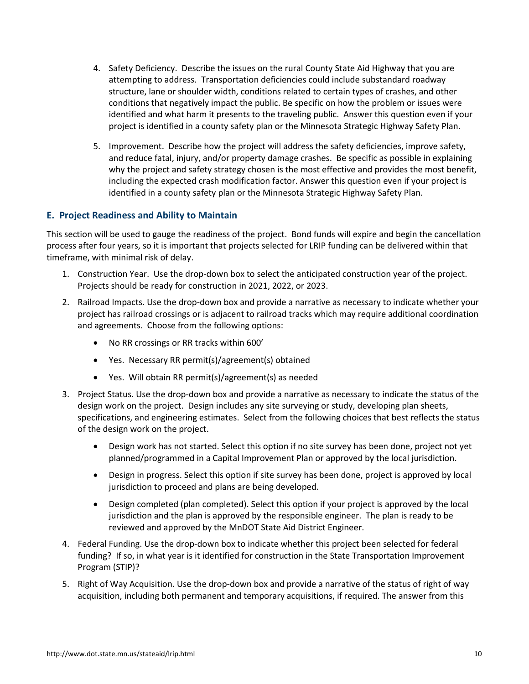- 4. Safety Deficiency. Describe the issues on the rural County State Aid Highway that you are attempting to address. Transportation deficiencies could include substandard roadway structure, lane or shoulder width, conditions related to certain types of crashes, and other conditions that negatively impact the public. Be specific on how the problem or issues were identified and what harm it presents to the traveling public. Answer this question even if your project is identified in a county safety plan or the Minnesota Strategic Highway Safety Plan.
- 5. Improvement. Describe how the project will address the safety deficiencies, improve safety, and reduce fatal, injury, and/or property damage crashes. Be specific as possible in explaining why the project and safety strategy chosen is the most effective and provides the most benefit, including the expected crash modification factor. Answer this question even if your project is identified in a county safety plan or the Minnesota Strategic Highway Safety Plan.

## **E. Project Readiness and Ability to Maintain**

This section will be used to gauge the readiness of the project. Bond funds will expire and begin the cancellation process after four years, so it is important that projects selected for LRIP funding can be delivered within that timeframe, with minimal risk of delay.

- 1. Construction Year. Use the drop-down box to select the anticipated construction year of the project. Projects should be ready for construction in 2021, 2022, or 2023.
- 2. Railroad Impacts. Use the drop-down box and provide a narrative as necessary to indicate whether your project has railroad crossings or is adjacent to railroad tracks which may require additional coordination and agreements. Choose from the following options:
	- No RR crossings or RR tracks within 600'
	- Yes. Necessary RR permit(s)/agreement(s) obtained
	- Yes. Will obtain RR permit(s)/agreement(s) as needed
- 3. Project Status. Use the drop-down box and provide a narrative as necessary to indicate the status of the design work on the project. Design includes any site surveying or study, developing plan sheets, specifications, and engineering estimates. Select from the following choices that best reflects the status of the design work on the project.
	- Design work has not started. Select this option if no site survey has been done, project not yet planned/programmed in a Capital Improvement Plan or approved by the local jurisdiction.
	- Design in progress. Select this option if site survey has been done, project is approved by local jurisdiction to proceed and plans are being developed.
	- Design completed (plan completed). Select this option if your project is approved by the local jurisdiction and the plan is approved by the responsible engineer. The plan is ready to be reviewed and approved by the MnDOT State Aid District Engineer.
- 4. Federal Funding. Use the drop-down box to indicate whether this project been selected for federal funding? If so, in what year is it identified for construction in the State Transportation Improvement Program (STIP)?
- 5. Right of Way Acquisition. Use the drop-down box and provide a narrative of the status of right of way acquisition, including both permanent and temporary acquisitions, if required. The answer from this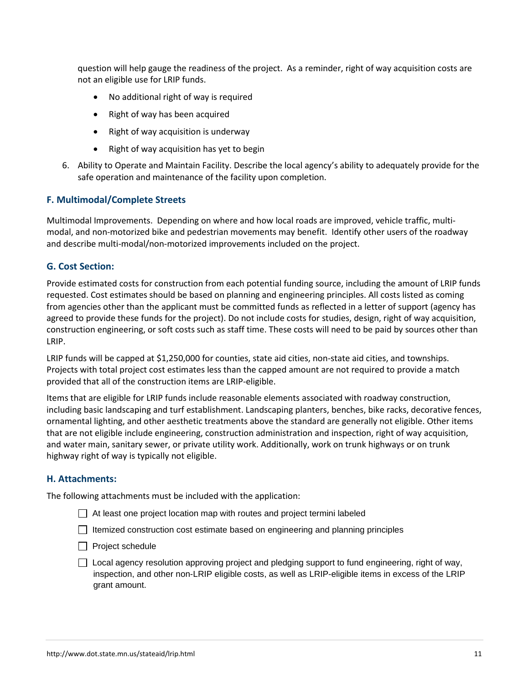question will help gauge the readiness of the project. As a reminder, right of way acquisition costs are not an eligible use for LRIP funds.

- No additional right of way is required
- Right of way has been acquired
- Right of way acquisition is underway
- Right of way acquisition has yet to begin
- 6. Ability to Operate and Maintain Facility. Describe the local agency's ability to adequately provide for the safe operation and maintenance of the facility upon completion.

#### **F. Multimodal/Complete Streets**

Multimodal Improvements. Depending on where and how local roads are improved, vehicle traffic, multimodal, and non-motorized bike and pedestrian movements may benefit. Identify other users of the roadway and describe multi-modal/non-motorized improvements included on the project.

#### **G. Cost Section:**

Provide estimated costs for construction from each potential funding source, including the amount of LRIP funds requested. Cost estimates should be based on planning and engineering principles. All costs listed as coming from agencies other than the applicant must be committed funds as reflected in a letter of support (agency has agreed to provide these funds for the project). Do not include costs for studies, design, right of way acquisition, construction engineering, or soft costs such as staff time. These costs will need to be paid by sources other than LRIP.

LRIP funds will be capped at \$1,250,000 for counties, state aid cities, non-state aid cities, and townships. Projects with total project cost estimates less than the capped amount are not required to provide a match provided that all of the construction items are LRIP-eligible.

Items that are eligible for LRIP funds include reasonable elements associated with roadway construction, including basic landscaping and turf establishment. Landscaping planters, benches, bike racks, decorative fences, ornamental lighting, and other aesthetic treatments above the standard are generally not eligible. Other items that are not eligible include engineering, construction administration and inspection, right of way acquisition, and water main, sanitary sewer, or private utility work. Additionally, work on trunk highways or on trunk highway right of way is typically not eligible.

#### **H. Attachments:**

The following attachments must be included with the application:

- $\Box$  At least one project location map with routes and project termini labeled
- $\Box$  Itemized construction cost estimate based on engineering and planning principles
- $\Box$  Project schedule
- $\Box$  Local agency resolution approving project and pledging support to fund engineering, right of way, inspection, and other non-LRIP eligible costs, as well as LRIP-eligible items in excess of the LRIP grant amount.